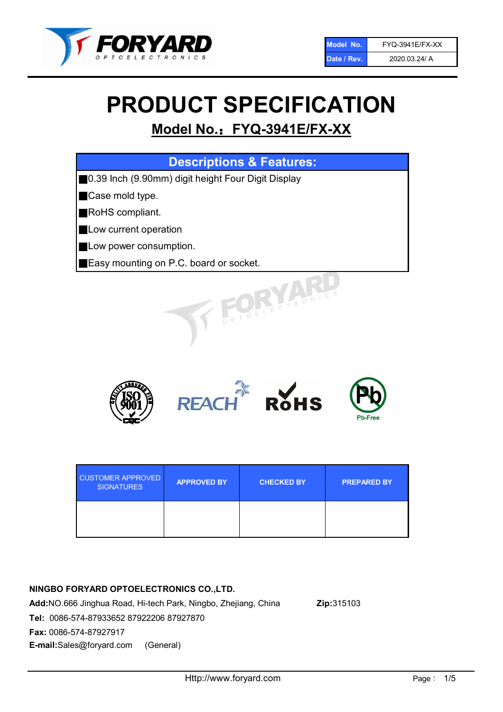

# PRODUCT SPECIFICATION

# Model No.: FYQ-3941E/FX-XX

| <b>Descriptions &amp; Features:</b>                |
|----------------------------------------------------|
| 0.39 Inch (9.90mm) digit height Four Digit Display |
| Case mold type.                                    |
| RoHS compliant.                                    |
| Low current operation                              |
| Low power consumption.                             |
| Easy mounting on P.C. board or socket.             |
| OELECTRONICS                                       |



| <b>CUSTOMER APPROVED</b><br><b>SIGNATURES</b> | <b>APPROVED BY</b> | <b>CHECKED BY</b> | <b>PREPARED BY</b> |
|-----------------------------------------------|--------------------|-------------------|--------------------|
|                                               |                    |                   |                    |

### NINGBO FORYARD OPTOELECTRONICS CO.,LTD.

Add:NO.666 Jinghua Road, Hi-tech Park, Ningbo, Zhejiang, China Zip:315103 Tel: 0086-574-87933652 87922206 87927870 Fax: 0086-574-87927917 E-mail:Sales@foryard.com (General)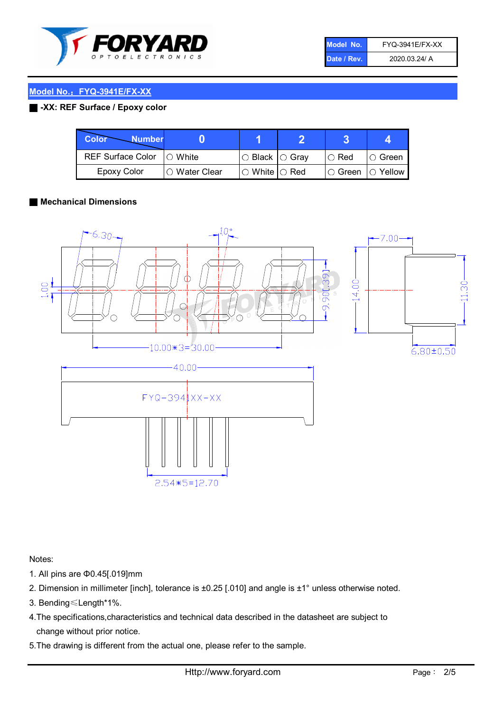

| Model No.   | <b>FYQ-3941E/FX-XX</b> |
|-------------|------------------------|
| Date / Rev. | 2020.03.24/ A          |

#### ■ -XX: REF Surface / Epoxy color

| Color<br><b>Number</b>      |                |                                                   |             |                |
|-----------------------------|----------------|---------------------------------------------------|-------------|----------------|
| REF Surface Color   O White |                | ○ Black  ○ Gray                                   | $\circ$ Red | $\circ$ Green  |
| Epoxy Color                 | I⊖ Water Clear | $\mathbin{\varcap}$ White $\mathbin{\varcap}$ Red | IO Green∶   | $\circ$ Yellow |

#### ■ Mechanical Dimensions



Notes:

- 1. All pins are Φ0.45[.019]mm
- 2. Dimension in millimeter [inch], tolerance is ±0.25 [.010] and angle is ±1° unless otherwise noted.
- 3. Bending≤Length\*1%.
- 4.The specifications,characteristics and technical data described in the datasheet are subject to change without prior notice.
- 5.The drawing is different from the actual one, please refer to the sample.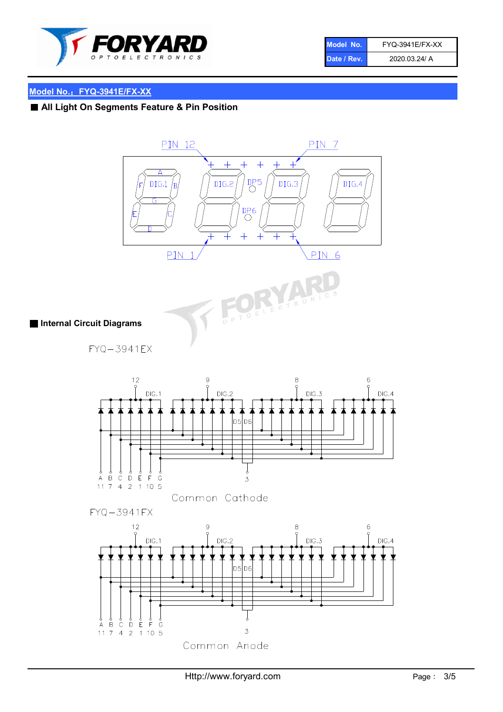

| Model No.   | <b>FYQ-3941E/FX-XX</b> |
|-------------|------------------------|
| Date / Rev. | 2020.03.24/ A          |

# ■ All Light On Segments Feature & Pin Position





 $FYQ - 3941EX$ 



Common Cathode



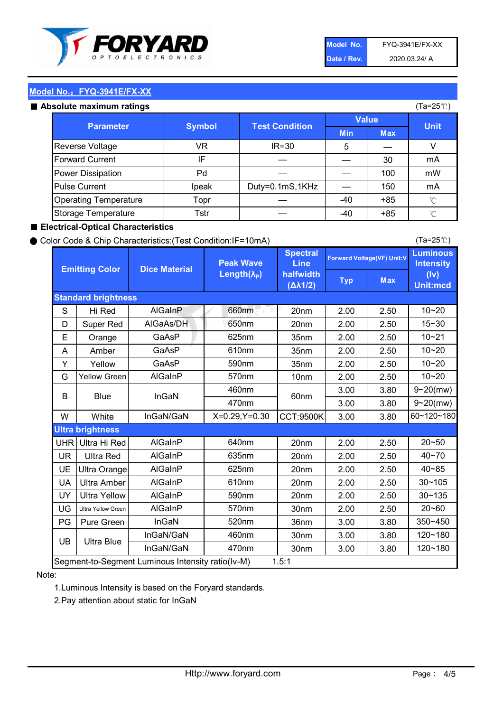

| Model No.   | <b>FYQ-3941E/FX-XX</b> |
|-------------|------------------------|
| Date / Rev. | 2020.03.24/ A          |

#### Absolute maximum

| ISUIULU IIIAAIIIIUIIII TALIIIYS |               |                       |              | (⊺a−∠J ∪ <i>)</i> |              |
|---------------------------------|---------------|-----------------------|--------------|-------------------|--------------|
| <b>Parameter</b>                | <b>Symbol</b> | <b>Test Condition</b> | <b>Value</b> |                   | <b>Unit</b>  |
|                                 |               |                       | <b>Min</b>   | <b>Max</b>        |              |
| Reverse Voltage                 | VR            | $IR = 30$             | 5            |                   |              |
| <b>Forward Current</b>          | ΙF            |                       |              | 30                | mA           |
| Power Dissipation               | Pd            |                       |              | 100               | mW           |
| <b>Pulse Current</b>            | Ipeak         | Duty=0.1mS,1KHz       |              | 150               | mA           |
| <b>Operating Temperature</b>    | Topr          |                       | $-40$        | $+85$             | $^{\circ}$ C |
| Storage Temperature             | Tstr          |                       | $-40$        | $+85$             | °C           |

#### ■ Electrical-Optical Characteristics

#### ● Color Code & Chip Characteristics:(Test Condition:IF=10mA)

Typ Max S | Hi $\textsf{Red}$  | AlGaInP | 660nm LE 20nm | 2.00 | 2.50 D | Super Red | AIGaAs/DH | 650nm | 20nm | 2.00 | 2.50 E | Orange | GaAsP | 625nm | 35nm | 2.00 | 2.50 A | Amber | GaAsP | 610nm | 35nm | 2.00 | 2.50 Y | Yellow | GaAsP | 590nm | 35nm | 2.00 | 2.50 G Yellow Green AIGaInP | 570nm | 10nm | 2.00 | 2.50 3.00 3.80 3.00 3.80 W | White | InGaN/GaN | X=0.29,Y=0.30 |CCT:9500K| 3.00 | 3.80 UHR Ultra Hi Red  $\vert$  AIGaInP  $\vert$  640nm  $\vert$  20nm  $\vert$  2.00  $\vert$  2.50 UR | Ultra Red | AlGaInP | 635nm | 20nm | 2.00 | 2.50 UE Ultra Orange | AIGaInP | 625nm | 20nm | 2.00 | 2.50 UA Ultra Amber | AIGaInP | 610nm | 20nm | 2.00 | 2.50  $UV$  Ultra Yellow  $\vert$  AlGaInP  $\vert$  590nm  $\vert$  20nm  $\vert$  2.00  $\vert$  2.50  $\text{UG}$  Ultra Yellow Green | AIGaInP | 570nm | 30nm | 2.00 | 2.50 PG Pure Green | InGaN | 520nm | 36nm | 3.00 | 3.80 30nm 3.00 3.80 30nm 3.00 3.80 40~85 60~120~180 40~70 Segment-to-Segment Luminous Intensity ratio(Iv-M) 1.5:1 610nm 9~20(mw) 350~450 470nm 120~180 120~180 Ultra Blue InGaN/GaN 9~20(mw) 20~50 570nm | 30nm | 2.00 | 2.50 | 20~60 470nm 590nm InGaN/GaN B Blue I InGaN 570nm | 10nm | 2.00 | 2.50 | 10~20 30~105 30~135 460nm 520nm Ultra brightness **AlGaInP** AlGaInP 60nm AlGaInP 640nm Peak Wave Length $(\lambda_{\rm P})$ UB 460nm 635nm AlGaInP AlGaInP AlGaInP InGaN/GaN AlGaInP 10~20 Luminous **Intensity** (Iv) Unit:mcd AlGainP 660nm GaAsP GaAsP AlGaAs/DH **Spectral** Line halfwidth (∆λ1/2) 10~20 Standard brightness Forward Voltage(VF) Unit:V 15~30 10~20 625nm GaAsP 590nm **Emitting Color Dice Material** 10~21 610nm

#### Note:

1.Luminous Intensity is based on the Foryard standards.

2.Pay attention about static for InGaN

(Ta=25℃)

(Ta=25℃)